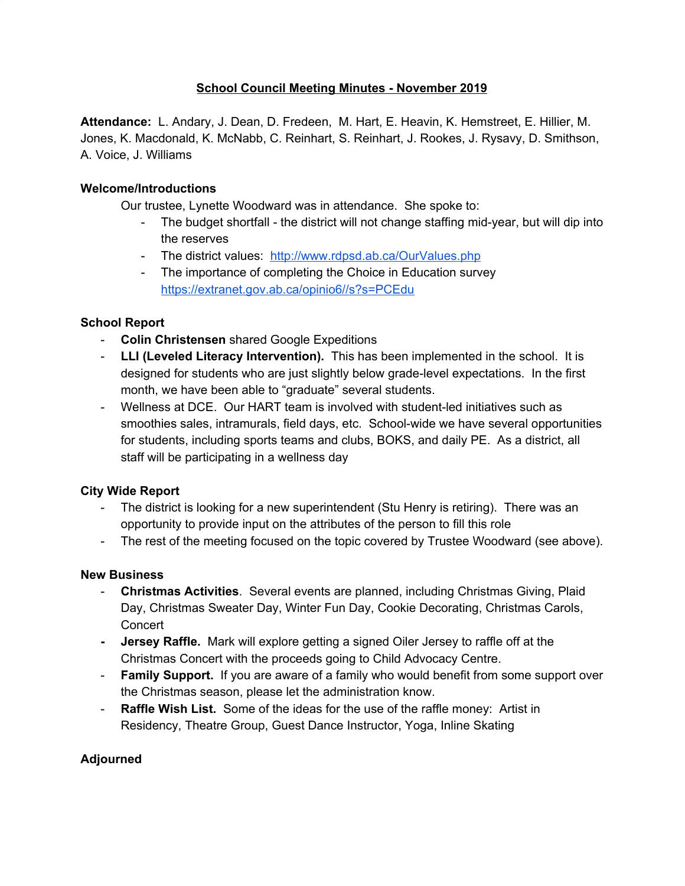# **School Council Meeting Minutes - November 2019**

**Attendance:** L. Andary, J. Dean, D. Fredeen, M. Hart, E. Heavin, K. Hemstreet, E. Hillier, M. Jones, K. Macdonald, K. McNabb, C. Reinhart, S. Reinhart, J. Rookes, J. Rysavy, D. Smithson, A. Voice, J. Williams

## **Welcome/Introductions**

Our trustee, Lynette Woodward was in attendance. She spoke to:

- The budget shortfall the district will not change staffing mid-year, but will dip into the reserves
- The district values: <http://www.rdpsd.ab.ca/OurValues.php>
- The importance of completing the Choice in Education survey <https://extranet.gov.ab.ca/opinio6//s?s=PCEdu>

## **School Report**

- **Colin Christensen** shared Google Expeditions
- **LLI (Leveled Literacy Intervention).** This has been implemented in the school. It is designed for students who are just slightly below grade-level expectations. In the first month, we have been able to "graduate" several students.
- Wellness at DCE. Our HART team is involved with student-led initiatives such as smoothies sales, intramurals, field days, etc. School-wide we have several opportunities for students, including sports teams and clubs, BOKS, and daily PE. As a district, all staff will be participating in a wellness day

### **City Wide Report**

- The district is looking for a new superintendent (Stu Henry is retiring). There was an opportunity to provide input on the attributes of the person to fill this role
- The rest of the meeting focused on the topic covered by Trustee Woodward (see above).

### **New Business**

- **Christmas Activities**. Several events are planned, including Christmas Giving, Plaid Day, Christmas Sweater Day, Winter Fun Day, Cookie Decorating, Christmas Carols, **Concert**
- **- Jersey Raffle.** Mark will explore getting a signed Oiler Jersey to raffle off at the Christmas Concert with the proceeds going to Child Advocacy Centre.
- **Family Support.** If you are aware of a family who would benefit from some support over the Christmas season, please let the administration know.
- **Raffle Wish List.** Some of the ideas for the use of the raffle money: Artist in Residency, Theatre Group, Guest Dance Instructor, Yoga, Inline Skating

# **Adjourned**